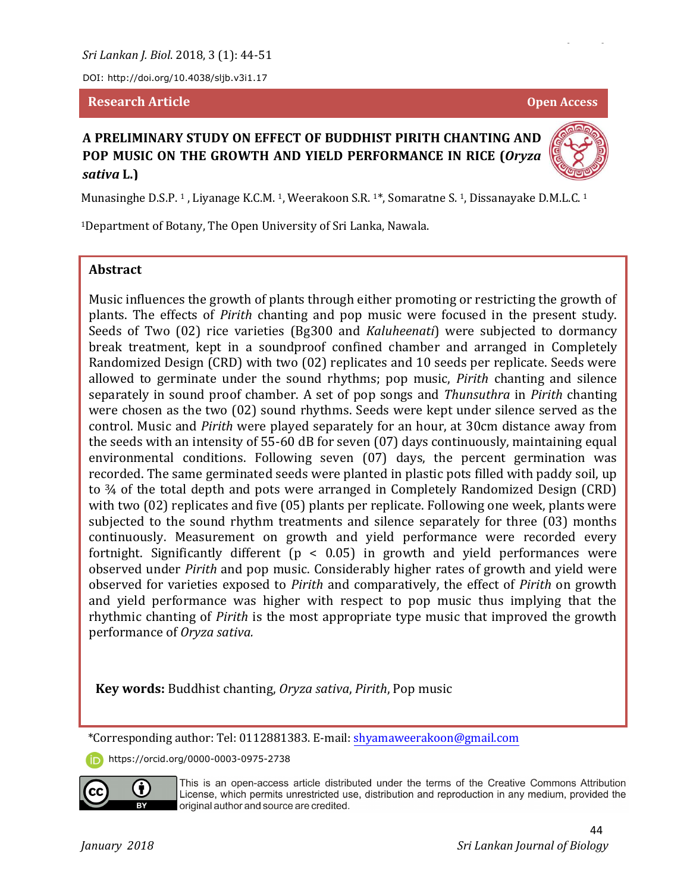*Sri Lankan J. Biol*. 2018, 3 (1): 44-51

DOI: http://doi.org/10.4038/sljb.v3i1.17

#### **Research Article Open Access**

# **A PRELIMINARY STUDY ON EFFECT OF BUDDHIST PIRITH CHANTING AND POP MUSIC ON THE GROWTH AND YIELD PERFORMANCE IN RICE (***Oryza sativa* **L.)**



<sup>1</sup>Department of Botany, The Open University of Sri Lanka, Nawala.

#### **Abstract**

Music influences the growth of plants through either promoting or restricting the growth of plants. The effects of *Pirith* chanting and pop music were focused in the present study. Seeds of Two (02) rice varieties (Bg300 and *Kaluheenati*) were subjected to dormancy break treatment, kept in a soundproof confined chamber and arranged in Completely Randomized Design (CRD) with two (02) replicates and 10 seeds per replicate. Seeds were allowed to germinate under the sound rhythms; pop music, *Pirith* chanting and silence separately in sound proof chamber. A set of pop songs and *Thunsuthra* in *Pirith* chanting were chosen as the two (02) sound rhythms. Seeds were kept under silence served as the control. Music and *Pirith* were played separately for an hour, at 30cm distance away from the seeds with an intensity of 55-60 dB for seven (07) days continuously, maintaining equal environmental conditions. Following seven (07) days, the percent germination was recorded. The same germinated seeds were planted in plastic pots filled with paddy soil, up to ¾ of the total depth and pots were arranged in Completely Randomized Design (CRD) with two (02) replicates and five (05) plants per replicate. Following one week, plants were subjected to the sound rhythm treatments and silence separately for three (03) months continuously. Measurement on growth and yield performance were recorded every fortnight. Significantly different ( $p < 0.05$ ) in growth and yield performances were observed under *Pirith* and pop music. Considerably higher rates of growth and yield were observed for varieties exposed to *Pirith* and comparatively, the effect of *Pirith* on growth and yield performance was higher with respect to pop music thus implying that the rhythmic chanting of *Pirith* is the most appropriate type music that improved the growth performance of *Oryza sativa.*

**Key words:** Buddhist chanting, *Oryza sativa*, *Pirith*, Pop music

\*Corresponding author: Tel: 0112881383. E-mail: shyamaweerakoon@gmail.com

https://orcid.org/0000-0003-0975-2738



This is an open-access article distributed under the terms of the Creative Commons Attribution<br>License, which permits unrestricted use, distribution and reproduction in any medium, provided the original author and source are credited.

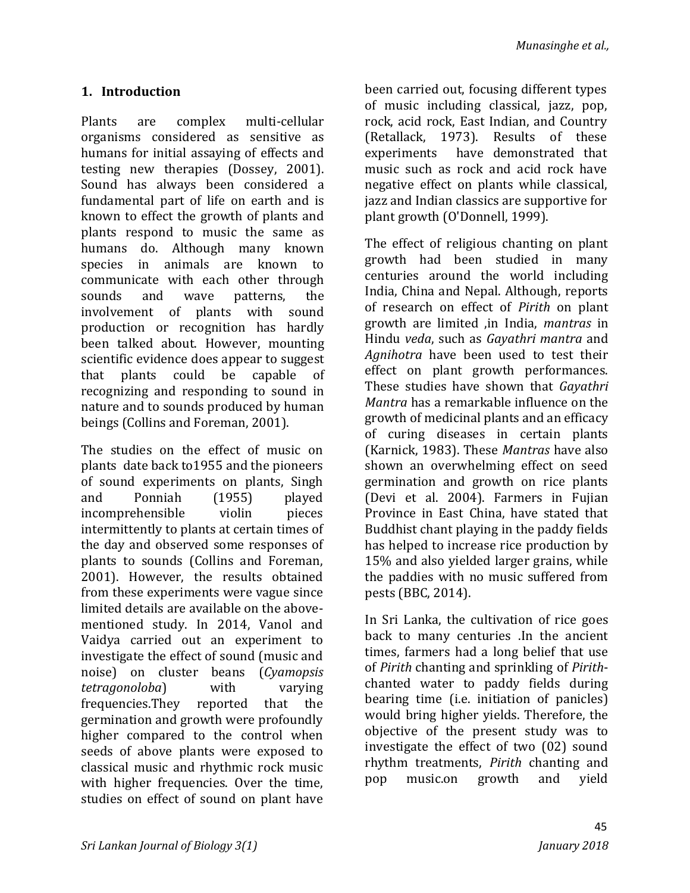## **1. Introduction**

Plants are complex multi-cellular organisms considered as sensitive as humans for initial assaying of effects and testing new therapies (Dossey, 2001). Sound has always been considered a fundamental part of life on earth and is known to effect the growth of plants and plants respond to music the same as humans do. Although many known species in animals are known to communicate with each other through sounds and wave patterns, the involvement of plants with sound production or recognition has hardly been talked about. However, mounting scientific evidence does appear to suggest that plants could be capable of recognizing and responding to sound in nature and to sounds produced by human beings (Collins and Foreman, 2001).

The studies on the effect of music on plants date back to1955 and the pioneers of sound experiments on plants, Singh and Ponniah (1955) played incomprehensible violin pieces intermittently to plants at certain times of the day and observed some responses of plants to sounds (Collins and Foreman, 2001). However, the results obtained from these experiments were vague since limited details are available on the abovementioned study. In 2014, Vanol and Vaidya carried out an experiment to investigate the effect of sound (music and noise) on cluster beans (*Cyamopsis tetragonoloba*) with varying frequencies.They reported that the germination and growth were profoundly higher compared to the control when seeds of above plants were exposed to classical music and rhythmic rock music with higher frequencies. Over the time, studies on effect of sound on plant have

been carried out, focusing different types of music including classical, jazz, pop, rock, acid rock, East Indian, and Country (Retallack, 1973). Results of these experiments have demonstrated that music such as rock and acid rock have negative effect on plants while classical, jazz and Indian classics are supportive for plant growth (O'Donnell, 1999).

The effect of religious chanting on plant growth had been studied in many centuries around the world including India, China and Nepal. Although, reports of research on effect of *Pirith* on plant growth are limited ,in India, *mantras* in Hindu *veda*, such as *Gayathri mantra* and *Agnihotra* have been used to test their effect on plant growth performances. These studies have shown that *Gayathri Mantra* has a remarkable influence on the growth of medicinal plants and an efficacy of curing diseases in certain plants (Karnick, 1983). These *Mantras* have also shown an overwhelming effect on seed germination and growth on rice plants (Devi et al. 2004). Farmers in Fujian Province in East China, have stated that Buddhist chant playing in the paddy fields has helped to increase rice production by 15% and also yielded larger grains, while the paddies with no music suffered from pests (BBC, 2014).

In Sri Lanka, the cultivation of rice goes back to many centuries .In the ancient times, farmers had a long belief that use of *Pirith* chanting and sprinkling of *Pirith*chanted water to paddy fields during bearing time (i.e. initiation of panicles) would bring higher yields. Therefore, the objective of the present study was to investigate the effect of two (02) sound rhythm treatments, *Pirith* chanting and pop music.on growth and yield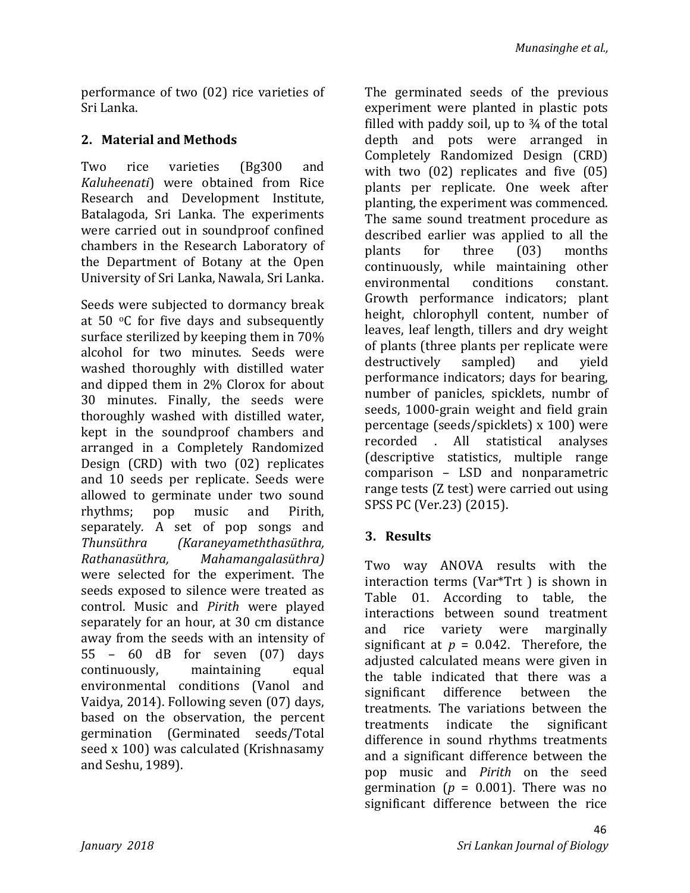performance of two (02) rice varieties of Sri Lanka.

## **2. Material and Methods**

Two rice varieties (Bg300 and *Kaluheenati*) were obtained from Rice Research and Development Institute, Batalagoda, Sri Lanka. The experiments were carried out in soundproof confined chambers in the Research Laboratory of the Department of Botany at the Open University of Sri Lanka, Nawala, Sri Lanka.

Seeds were subjected to dormancy break at 50 $\degree$ C for five days and subsequently surface sterilized by keeping them in 70% alcohol for two minutes. Seeds were washed thoroughly with distilled water and dipped them in 2% Clorox for about 30 minutes. Finally, the seeds were thoroughly washed with distilled water, kept in the soundproof chambers and arranged in a Completely Randomized Design (CRD) with two (02) replicates and 10 seeds per replicate. Seeds were allowed to germinate under two sound rhythms; pop music and Pirith, separately*.* A set of pop songs and *Thunsüthra (Karaneyameththasüthra, Rathanasüthra, Mahamangalasüthra)*  were selected for the experiment. The seeds exposed to silence were treated as control. Music and *Pirith* were played separately for an hour, at 30 cm distance away from the seeds with an intensity of 55 – 60 dB for seven (07) days continuously, maintaining equal environmental conditions (Vanol and Vaidya, 2014). Following seven (07) days, based on the observation, the percent germination (Germinated seeds/Total seed x 100) was calculated (Krishnasamy and Seshu, 1989).

The germinated seeds of the previous experiment were planted in plastic pots filled with paddy soil, up to  $\frac{3}{4}$  of the total depth and pots were arranged in Completely Randomized Design (CRD) with two (02) replicates and five (05) plants per replicate. One week after planting, the experiment was commenced. The same sound treatment procedure as described earlier was applied to all the plants for three (03) months continuously, while maintaining other environmental conditions constant. Growth performance indicators; plant height, chlorophyll content, number of leaves, leaf length, tillers and dry weight of plants (three plants per replicate were destructively sampled) and yield performance indicators; days for bearing, number of panicles, spicklets, numbr of seeds, 1000-grain weight and field grain percentage (seeds/spicklets) x 100) were recorded . All statistical analyses (descriptive statistics, multiple range comparison – LSD and nonparametric range tests (Z test) were carried out using SPSS PC (Ver.23) (2015).

## **3. Results**

Two way ANOVA results with the interaction terms (Var\*Trt ) is shown in Table 01. According to table, the interactions between sound treatment and rice variety were marginally significant at  $p = 0.042$ . Therefore, the adjusted calculated means were given in the table indicated that there was a significant difference between the treatments. The variations between the treatments indicate the significant difference in sound rhythms treatments and a significant difference between the pop music and *Pirith* on the seed germination ( $p = 0.001$ ). There was no significant difference between the rice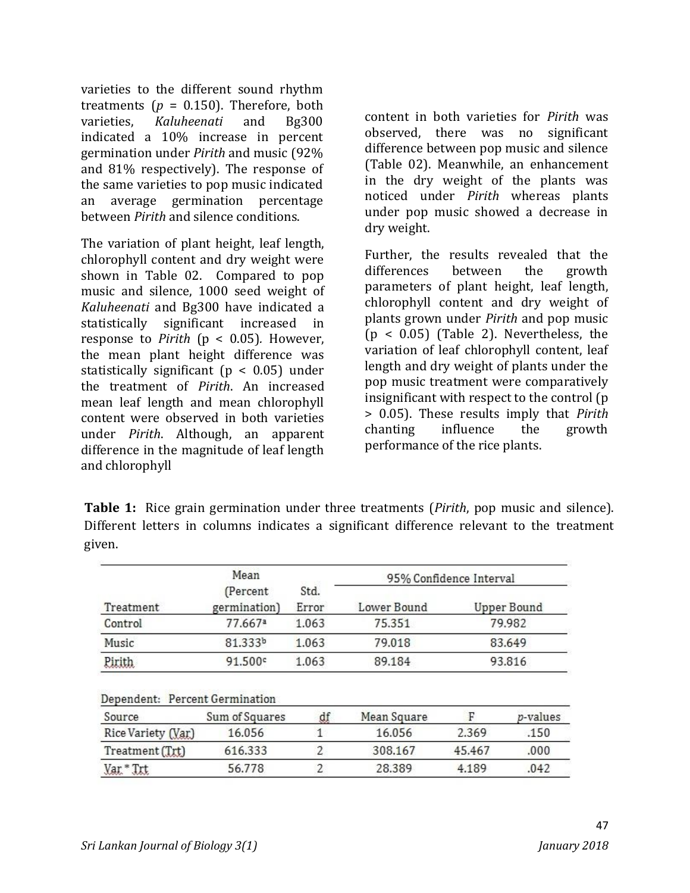varieties to the different sound rhythm treatments ( $p = 0.150$ ). Therefore, both varieties, *Kaluheenati* and Bg300 indicated a 10% increase in percent germination under *Pirith* and music (92% and 81% respectively). The response of the same varieties to pop music indicated an average germination percentage between *Pirith* and silence conditions.

The variation of plant height, leaf length, chlorophyll content and dry weight were shown in Table 02. Compared to pop music and silence, 1000 seed weight of *Kaluheenati* and Bg300 have indicated a statistically significant increased in response to *Pirith* ( $p < 0.05$ ). However, the mean plant height difference was statistically significant (p < 0.05) under the treatment of *Pirith*. An increased mean leaf length and mean chlorophyll content were observed in both varieties under *Pirith*. Although, an apparent difference in the magnitude of leaf length and chlorophyll

content in both varieties for *Pirith* was observed, there was no significant difference between pop music and silence (Table 02). Meanwhile, an enhancement in the dry weight of the plants was noticed under *Pirith* whereas plants under pop music showed a decrease in dry weight.

Further, the results revealed that the differences between the growth parameters of plant height, leaf length, chlorophyll content and dry weight of plants grown under *Pirith* and pop music (p < 0.05) (Table 2). Nevertheless, the variation of leaf chlorophyll content, leaf length and dry weight of plants under the pop music treatment were comparatively insignificant with respect to the control (p > 0.05). These results imply that *Pirith* chanting influence the growth performance of the rice plants.

**Table 1:** Rice grain germination under three treatments (*Pirith*, pop music and silence). Different letters in columns indicates a significant difference relevant to the treatment given.

|                                | Mean                      |               | 95% Confidence Interval |        |                    |  |
|--------------------------------|---------------------------|---------------|-------------------------|--------|--------------------|--|
| Treatment                      | (Percent)<br>germination) | Std.<br>Error | Lower Bound             |        | <b>Upper Bound</b> |  |
| Control                        | 77.667ª                   | 1.063         | 75.351                  | 79.982 |                    |  |
| Music                          | 81.333b                   | 1.063         | 79.018                  | 83.649 |                    |  |
| Pirith                         | 91.500°                   | 1.063         | 89.184                  | 93.816 |                    |  |
| Dependent: Percent Germination |                           |               |                         |        |                    |  |
| Source                         | Sum of Squares            | df            | Mean Square             | F      | <i>p</i> -values   |  |
| Rice Variety (Var.)            | 16.056                    | 1             | 16.056                  | 2.369  | .150               |  |
| Treatment (Trt)                | 616.333                   | 2             | 308.167                 | 45.467 | .000               |  |
| Var.* Trt                      | 56.778                    | 2             | 28.389                  | 4.189  | .042               |  |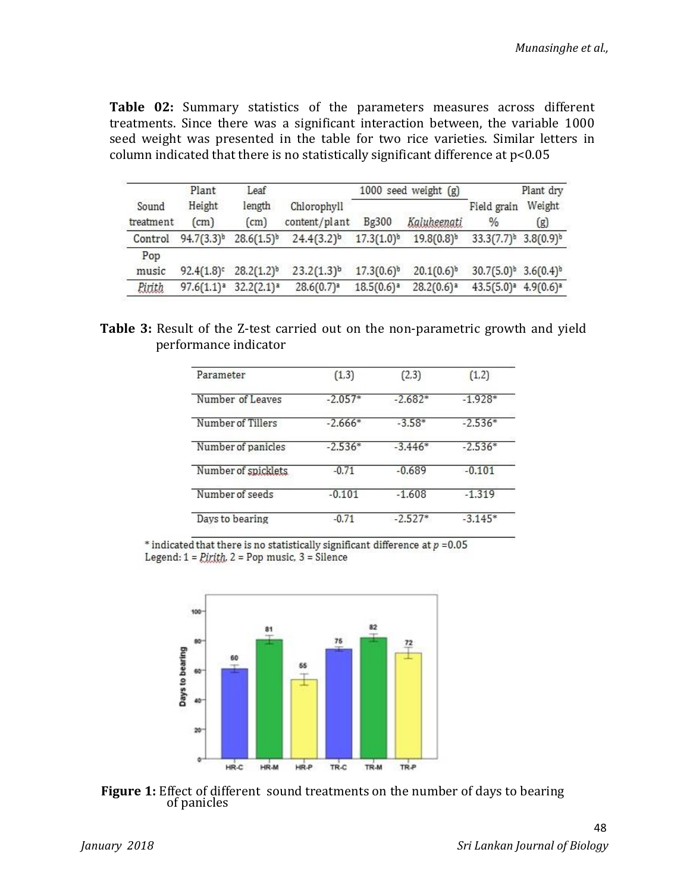**Table 02:** Summary statistics of the parameters measures across different treatments. Since there was a significant interaction between, the variable 1000 seed weight was presented in the table for two rice varieties. Similar letters in column indicated that there is no statistically significant difference at p<0.05

|                    | Plant                   | Leaf            |                              | 1000 seed weight $(g)$ |                 |                                              | Plant dry      |
|--------------------|-------------------------|-----------------|------------------------------|------------------------|-----------------|----------------------------------------------|----------------|
| Sound<br>treatment | Height<br>$\text{cm}$ ) | length<br>(cm)  | Chlorophyll<br>content/plant | Bg300                  | Kaluheenati     | Field grain<br>$\%$                          | Weight<br>(g)  |
| Control            | $94.7(3.3)^{b}$         | $28.6(1.5)^{b}$ | $24.4(3.2)^{b}$              | $17.3(1.0)^{b}$        | $19.8(0.8)^{b}$ | $33.3(7.7)^b$                                | $3.8(0.9)^{b}$ |
| Pop<br>music       | $92.4(1.8)$ c           | $28.2(1.2)^{b}$ | $23.2(1.3)^b$                | $17.3(0.6)^{b}$        | $20.1(0.6)^{b}$ | 30.7(5.0) <sup>b</sup> 3.6(0.4) <sup>b</sup> |                |
| <b>Pirith</b>      | $97.6(1.1)^a$           | $32.2(2.1)^a$   | 28.6(0.7) <sup>a</sup>       | $18.5(0.6)^{a}$        | $28.2(0.6)^{a}$ | $43.5(5.0)^a$                                | $4.9(0.6)^a$   |

**Table 3:** Result of the Z-test carried out on the non-parametric growth and yield performance indicator

| Parameter            | (1,3)     | (2,3)     | (1,2)     |
|----------------------|-----------|-----------|-----------|
| Number of Leaves     | $-2.057*$ | $-2.682*$ | $-1.928*$ |
| Number of Tillers    | $-2.666*$ | $-3.58*$  | $-2.536*$ |
| Number of panicles   | $-2.536*$ | $-3.446*$ | $-2.536*$ |
| Number of spicklets. | $-0.71$   | $-0.689$  | $-0.101$  |
| Number of seeds      | $-0.101$  | $-1.608$  | $-1.319$  |
| Days to bearing      | $-0.71$   | $-2.527*$ | $-3.145*$ |

\* indicated that there is no statistically significant difference at  $p = 0.05$ Legend:  $1 =$  *Pirith*,  $2 =$  Pop music,  $3 =$  Silence



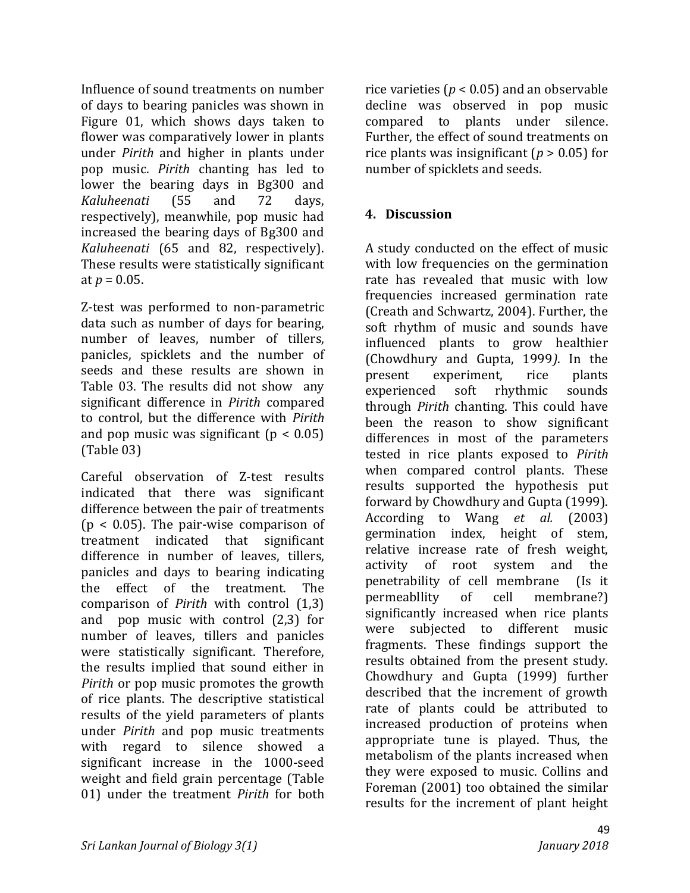Influence of sound treatments on number of days to bearing panicles was shown in Figure 01, which shows days taken to flower was comparatively lower in plants under *Pirith* and higher in plants under pop music. *Pirith* chanting has led to lower the bearing days in Bg300 and *Kaluheenati* (55 and 72 days, respectively), meanwhile, pop music had increased the bearing days of Bg300 and *Kaluheenati* (65 and 82, respectively). These results were statistically significant at  $p = 0.05$ .

Z-test was performed to non-parametric data such as number of days for bearing, number of leaves, number of tillers, panicles, spicklets and the number of seeds and these results are shown in Table 03. The results did not show any significant difference in *Pirith* compared to control, but the difference with *Pirith* and pop music was significant  $(p < 0.05)$ (Table 03)

Careful observation of Z-test results indicated that there was significant difference between the pair of treatments  $(p < 0.05)$ . The pair-wise comparison of treatment indicated that significant difference in number of leaves, tillers, panicles and days to bearing indicating the effect of the treatment. The comparison of *Pirith* with control (1,3) and pop music with control (2,3) for number of leaves, tillers and panicles were statistically significant. Therefore, the results implied that sound either in *Pirith* or pop music promotes the growth of rice plants. The descriptive statistical results of the yield parameters of plants under *Pirith* and pop music treatments with regard to silence showed a significant increase in the 1000-seed weight and field grain percentage (Table 01) under the treatment *Pirith* for both rice varieties (*p* < 0.05) and an observable decline was observed in pop music compared to plants under silence. Further, the effect of sound treatments on rice plants was insignificant (*p* > 0.05) for number of spicklets and seeds.

# **4. Discussion**

A study conducted on the effect of music with low frequencies on the germination rate has revealed that music with low frequencies increased germination rate (Creath and Schwartz, 2004). Further, the soft rhythm of music and sounds have influenced plants to grow healthier (Chowdhury and Gupta, 1999*)*. In the present experiment, rice plants experienced soft rhythmic sounds through *Pirith* chanting. This could have been the reason to show significant differences in most of the parameters tested in rice plants exposed to *Pirith* when compared control plants. These results supported the hypothesis put forward by Chowdhury and Gupta (1999). According to Wang *et al.* (2003) germination index, height of stem, relative increase rate of fresh weight, activity of root system and the penetrability of cell membrane (Is it permeabllity of cell membrane?) significantly increased when rice plants were subjected to different music fragments. These findings support the results obtained from the present study. Chowdhury and Gupta (1999) further described that the increment of growth rate of plants could be attributed to increased production of proteins when appropriate tune is played. Thus, the metabolism of the plants increased when they were exposed to music. Collins and Foreman (2001) too obtained the similar results for the increment of plant height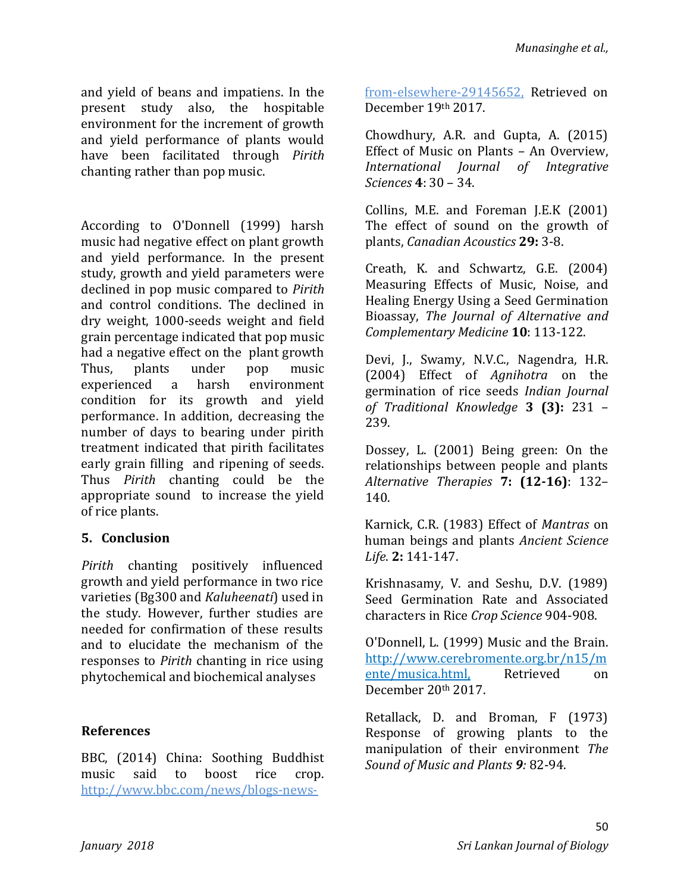and yield of beans and impatiens. In the present study also, the hospitable environment for the increment of growth and yield performance of plants would have been facilitated through *Pirith* chanting rather than pop music.

According to O'Donnell (1999) harsh music had negative effect on plant growth and yield performance. In the present study, growth and yield parameters were declined in pop music compared to *Pirith* and control conditions. The declined in dry weight, 1000-seeds weight and field grain percentage indicated that pop music had a negative effect on the plant growth Thus, plants under pop music experienced a harsh environment condition for its growth and yield performance. In addition, decreasing the number of days to bearing under pirith treatment indicated that pirith facilitates early grain filling and ripening of seeds. Thus *Pirith* chanting could be the appropriate sound to increase the yield of rice plants.

### **5. Conclusion**

*Pirith* chanting positively influenced growth and yield performance in two rice varieties (Bg300 and *Kaluheenati*) used in the study. However, further studies are needed for confirmation of these results and to elucidate the mechanism of the responses to *Pirith* chanting in rice using phytochemical and biochemical analyses

### **References**

BBC, (2014) China: Soothing Buddhist music said to boost rice crop. http://www.bbc.com/news/blogs-newsfrom-elsewhere-29145652, Retrieved on December 19th 2017.

Chowdhury, A.R. and Gupta, A. (2015) Effect of Music on Plants – An Overview, *International Journal of Integrative Sciences* **4**: 30 – 34.

Collins, M.E. and Foreman J.E.K (2001) The effect of sound on the growth of plants, *Canadian Acoustics* **29:** 3-8.

Creath, K. and Schwartz, G.E. (2004) Measuring Effects of Music, Noise, and Healing Energy Using a Seed Germination Bioassay, *The Journal of Alternative and Complementary Medicine* **10**: 113-122.

Devi, J., Swamy, N.V.C., Nagendra, H.R. (2004) Effect of *Agnihotra* on the germination of rice seeds *Indian Journal of Traditional Knowledge* **3 (3):** 231 – 239.

Dossey, L. (2001) Being green: On the relationships between people and plants *Alternative Therapies* **7: (12-16)**: 132– 140.

Karnick, C.R. (1983) Effect of *Mantras* on human beings and plants *Ancient Science Life*. **2:** 141-147.

Krishnasamy, V. and Seshu, D.V. (1989) Seed Germination Rate and Associated characters in Rice *Crop Science* 904-908.

O'Donnell, L. (1999) Music and the Brain. http://www.cerebromente.org.br/n15/m ente/musica.html, Retrieved on December 20th 2017.

Retallack, D. and Broman, F (1973) Response of growing plants to the manipulation of their environment *The Sound of Music and Plants 9:* 82-94.